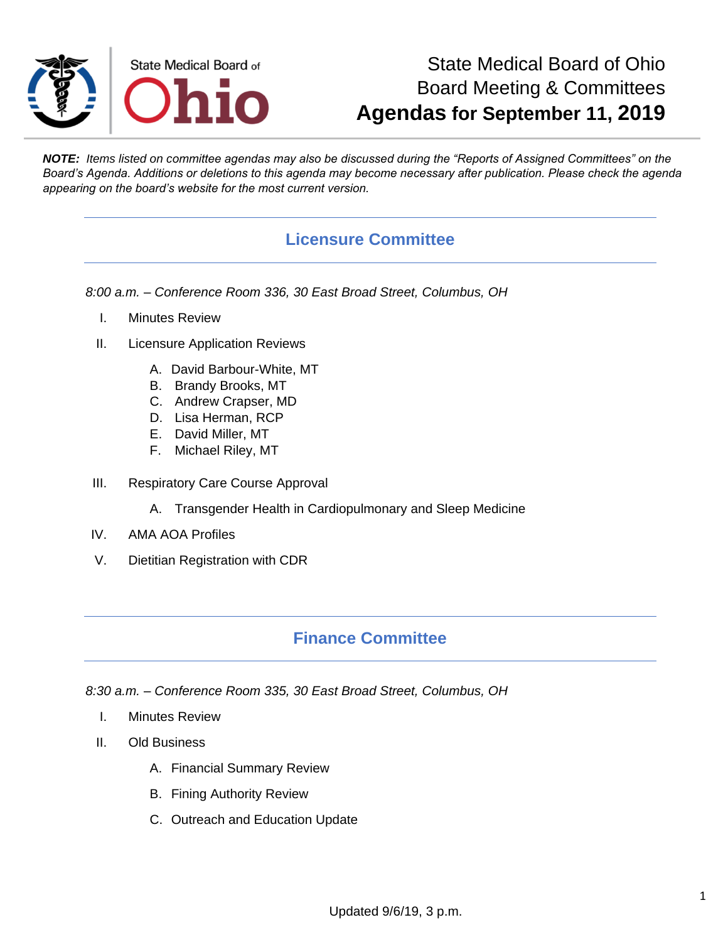

# State Medical Board of Ohio Board Meeting & Committees **Agendas for September 11, 2019**

*NOTE: Items listed on committee agendas may also be discussed during the "Reports of Assigned Committees" on the Board's Agenda. Additions or deletions to this agenda may become necessary after publication. Please check the agenda appearing on the board's website for the most current version.*

## **Licensure Committee**

*8:00 a.m. – Conference Room 336, 30 East Broad Street, Columbus, OH*

- I. Minutes Review
- II. Licensure Application Reviews
	- A. David Barbour-White, MT
	- B. Brandy Brooks, MT
	- C. Andrew Crapser, MD
	- D. Lisa Herman, RCP
	- E. David Miller, MT
	- F. Michael Riley, MT
- III. Respiratory Care Course Approval
	- A. Transgender Health in Cardiopulmonary and Sleep Medicine
- IV. AMA AOA Profiles
- V. Dietitian Registration with CDR

## **Finance Committee**

*8:30 a.m. – Conference Room 335, 30 East Broad Street, Columbus, OH*

- I. Minutes Review
- II. Old Business
	- A. Financial Summary Review
	- B. Fining Authority Review
	- C. Outreach and Education Update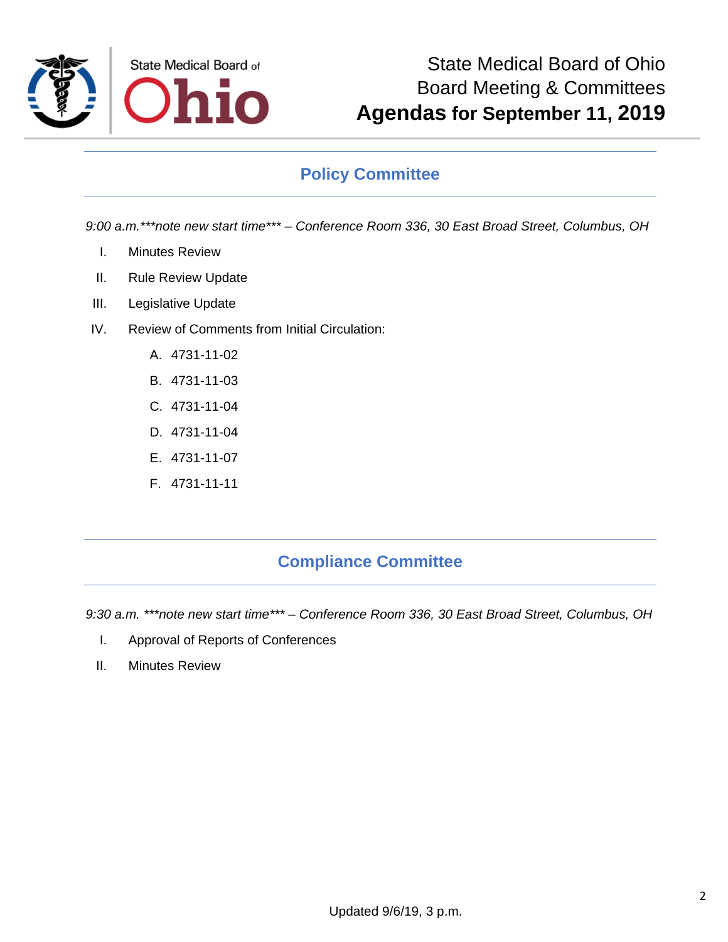

## **Policy Committee**

*9:00 a.m.\*\*\*note new start time\*\*\* – Conference Room 336, 30 East Broad Street, Columbus, OH*

- I. Minutes Review
- II. Rule Review Update
- III. Legislative Update
- IV. Review of Comments from Initial Circulation:
	- A. 4731-11-02
	- B. 4731-11-03
	- C. 4731-11-04
	- D. 4731-11-04
	- E. 4731-11-07
	- F. 4731-11-11

## **Compliance Committee**

*9:30 a.m. \*\*\*note new start time\*\*\* – Conference Room 336, 30 East Broad Street, Columbus, OH*

- I. Approval of Reports of Conferences
- II. Minutes Review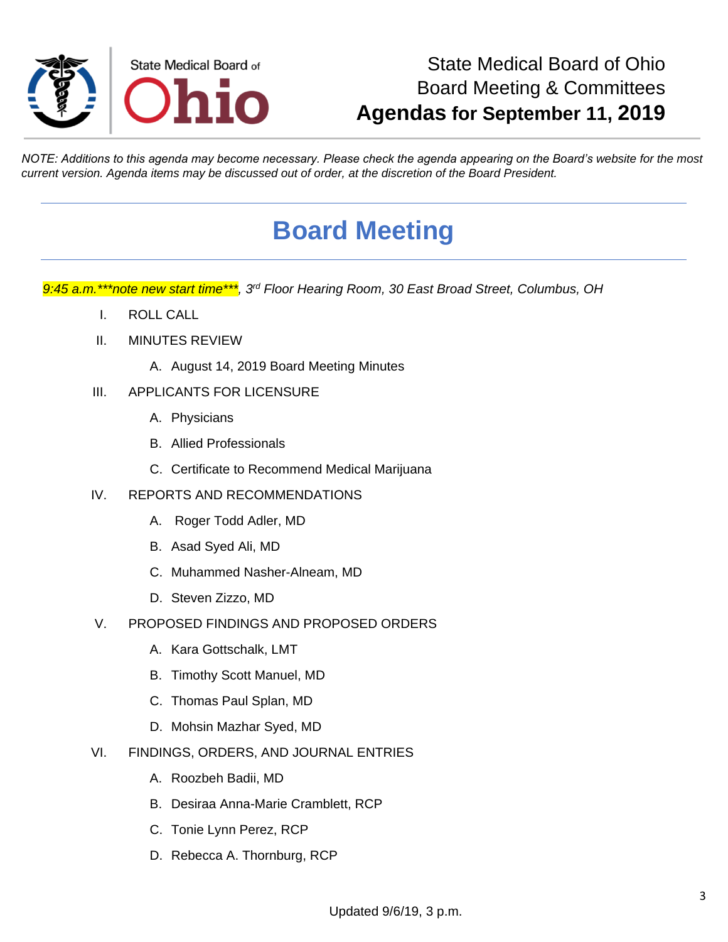

# State Medical Board of Ohio Board Meeting & Committees **Agendas for September 11, 2019**

*NOTE: Additions to this agenda may become necessary. Please check the agenda appearing on the Board's website for the most current version. Agenda items may be discussed out of order, at the discretion of the Board President.*

# **Board Meeting**

*9:45 a.m.\*\*\*note new start time\*\*\*, 3rd Floor Hearing Room, 30 East Broad Street, Columbus, OH*

- I. ROLL CALL
- II. MINUTES REVIEW
	- A. August 14, 2019 Board Meeting Minutes
- III. APPLICANTS FOR LICENSURE
	- A. Physicians
	- B. Allied Professionals
	- C. Certificate to Recommend Medical Marijuana
- IV. REPORTS AND RECOMMENDATIONS
	- A. Roger Todd Adler, MD
	- B. Asad Syed Ali, MD
	- C. Muhammed Nasher-Alneam, MD
	- D. Steven Zizzo, MD
- V. PROPOSED FINDINGS AND PROPOSED ORDERS
	- A. Kara Gottschalk, LMT
	- B. Timothy Scott Manuel, MD
	- C. Thomas Paul Splan, MD
	- D. Mohsin Mazhar Syed, MD
- VI. FINDINGS, ORDERS, AND JOURNAL ENTRIES
	- A. Roozbeh Badii, MD
	- B. Desiraa Anna-Marie Cramblett, RCP
	- C. Tonie Lynn Perez, RCP
	- D. Rebecca A. Thornburg, RCP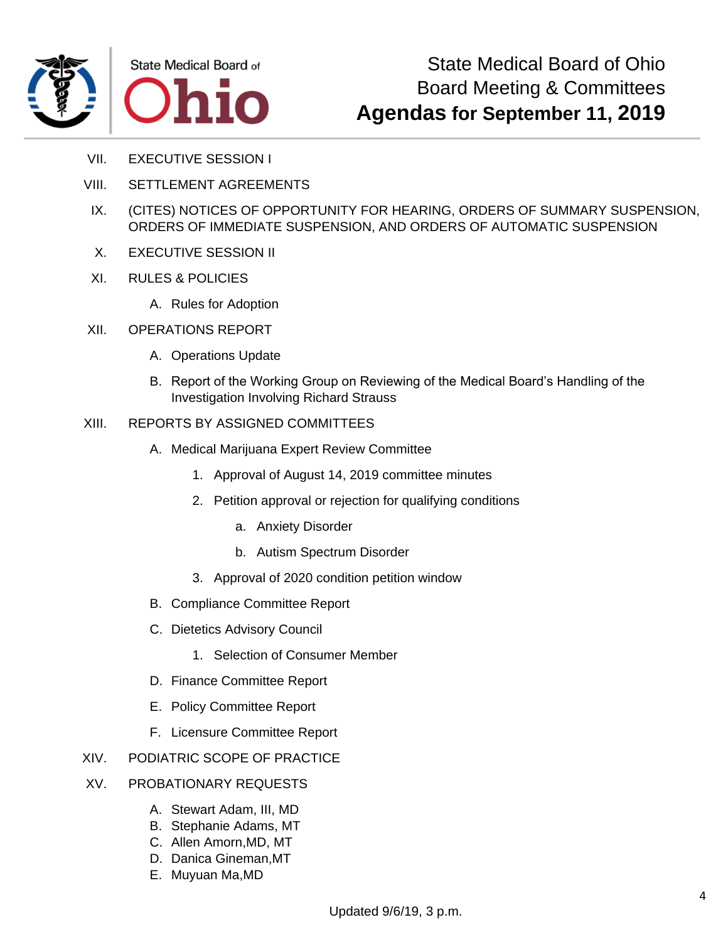



- VII. EXECUTIVE SESSION I
- VIII. SETTLEMENT AGREEMENTS
- IX. (CITES) NOTICES OF OPPORTUNITY FOR HEARING, ORDERS OF SUMMARY SUSPENSION, ORDERS OF IMMEDIATE SUSPENSION, AND ORDERS OF AUTOMATIC SUSPENSION
- X. EXECUTIVE SESSION II
- XI. RULES & POLICIES
	- A. Rules for Adoption
- XII. OPERATIONS REPORT
	- A. Operations Update
	- B. Report of the Working Group on Reviewing of the Medical Board's Handling of the Investigation Involving Richard Strauss
- XIII. REPORTS BY ASSIGNED COMMITTEES
	- A. Medical Marijuana Expert Review Committee
		- 1. Approval of August 14, 2019 committee minutes
		- 2. Petition approval or rejection for qualifying conditions
			- a. Anxiety Disorder
			- b. Autism Spectrum Disorder
		- 3. Approval of 2020 condition petition window
	- B. Compliance Committee Report
	- C. Dietetics Advisory Council
		- 1. Selection of Consumer Member
	- D. Finance Committee Report
	- E. Policy Committee Report
	- F. Licensure Committee Report
- XIV. PODIATRIC SCOPE OF PRACTICE
- XV. PROBATIONARY REQUESTS
	- A. Stewart Adam, III, MD
	- B. Stephanie Adams, MT
	- C. Allen Amorn,MD, MT
	- D. Danica Gineman,MT
	- E. Muyuan Ma,MD